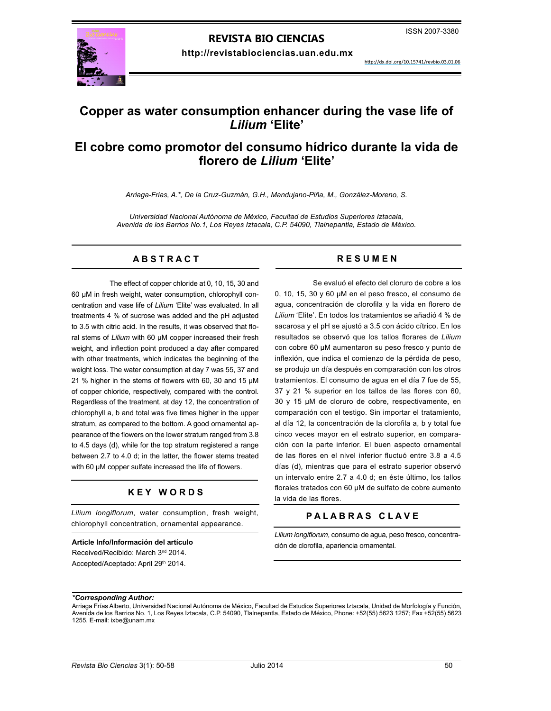# **REVISTA BIO CIENCIAS**

**http://revistabiociencias.uan.edu.mx**



<http://dx.doi.org/10.15741/revbio.03.01.06>

# **Copper as water consumption enhancer during the vase life of**  *Lilium* **'Elite'**

# **El cobre como promotor del consumo hídrico durante la vida de florero de** *Lilium* **'Elite'**

*Arriaga-Frias, A.\*, De la Cruz-Guzmán, G.H., Mandujano-Piña, M., González-Moreno, S.*

*Universidad Nacional Autónoma de México, Facultad de Estudios Superiores Iztacala, Avenida de los Barrios No.1, Los Reyes Iztacala, C.P. 54090, Tlalnepantla, Estado de México.*

# **A B S T R A C T R E S U M E N**

The effect of copper chloride at 0, 10, 15, 30 and 60 µM in fresh weight, water consumption, chlorophyll concentration and vase life of *Lilium* 'Elite' was evaluated. In all treatments 4 % of sucrose was added and the pH adjusted to 3.5 with citric acid. In the results, it was observed that floral stems of *Lilium* with 60 µM copper increased their fresh weight, and inflection point produced a day after compared with other treatments, which indicates the beginning of the weight loss. The water consumption at day 7 was 55, 37 and 21 % higher in the stems of flowers with 60, 30 and 15 µM of copper chloride, respectively, compared with the control. Regardless of the treatment, at day 12, the concentration of chlorophyll a, b and total was five times higher in the upper stratum, as compared to the bottom. A good ornamental appearance of the flowers on the lower stratum ranged from 3.8 to 4.5 days (d), while for the top stratum registered a range between 2.7 to 4.0 d; in the latter, the flower stems treated with 60 μM copper sulfate increased the life of flowers.

# **K E Y W O R D S**

*Lilium longiflorum*, water consumption, fresh weight, chlorophyll concentration, ornamental appearance.

#### **Article Info/Información del artículo**

Received/Recibido: March 3<sup>nd</sup> 2014. Accepted/Aceptado: April 29th 2014.

Se evaluó el efecto del cloruro de cobre a los 0, 10, 15, 30 y 60 µM en el peso fresco, el consumo de agua, concentración de clorofila y la vida en florero de *Lilium* 'Elite'. En todos los tratamientos se añadió 4 % de sacarosa y el pH se ajustó a 3.5 con ácido cítrico. En los resultados se observó que los tallos florares de *Lilium* con cobre 60 µM aumentaron su peso fresco y punto de inflexión, que indica el comienzo de la pérdida de peso, se produjo un día después en comparación con los otros tratamientos. El consumo de agua en el día 7 fue de 55, 37 y 21 % superior en los tallos de las flores con 60, 30 y 15 µM de cloruro de cobre, respectivamente, en comparación con el testigo. Sin importar el tratamiento, al día 12, la concentración de la clorofila a, b y total fue cinco veces mayor en el estrato superior, en comparación con la parte inferior. El buen aspecto ornamental de las flores en el nivel inferior fluctuó entre 3.8 a 4.5 días (d), mientras que para el estrato superior observó un intervalo entre 2.7 a 4.0 d; en éste último, los tallos florales tratados con 60 µM de sulfato de cobre aumento la vida de las flores.

# **P A L A B R A S C L A V E**

*Lilium longiflorum*, consumo de agua, peso fresco, concentración de clorofila, apariencia ornamental.

# *\*Corresponding Author:*

Arriaga Frías Alberto, Universidad Nacional Autónoma de México, Facultad de Estudios Superiores Iztacala, Unidad de Morfología y Función, Avenida de los Barrios No. 1, Los Reyes Iztacala, C.P. 54090, Tlalnepantla, Estado de México, Phone: +52(55) 5623 1257; Fax +52(55) 5623 1255. E-mail: ixbe@unam.mx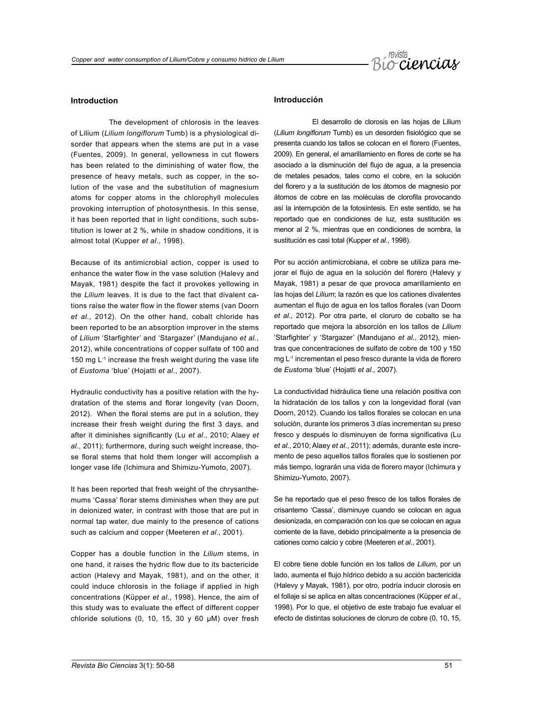

# **Introduction**

The development of chlorosis in the leaves of Lilium (*Lilium longiflorum* Tumb) is a physiological disorder that appears when the stems are put in a vase (Fuentes, 2009). In general, yellowness in cut flowers has been related to the diminishing of water flow, the presence of heavy metals, such as copper, in the solution of the vase and the substitution of magnesium atoms for copper atoms in the chlorophyll molecules provoking interruption of photosynthesis. In this sense, it has been reported that in light conditions, such substitution is lower at 2 %, while in shadow conditions, it is almost total (Kupper *et al*., 1998).

Because of its antimicrobial action, copper is used to enhance the water flow in the vase solution (Halevy and Mayak, 1981) despite the fact it provokes yellowing in the *Lilium* leaves. It is due to the fact that divalent cations raise the water flow in the flower stems (van Doorn *et al*., 2012). On the other hand, cobalt chloride has been reported to be an absorption improver in the stems of *Lilium* 'Starfighter' and 'Stargazer' (Mandujano *et al*., 2012), while concentrations of copper sulfate of 100 and 150 mg L<sup>-1</sup> increase the fresh weight during the vase life of *Eustoma* 'blue' (Hojatti *et al.*, 2007).

Hydraulic conductivity has a positive relation with the hydratation of the stems and florar longevity (van Doorn, 2012). When the floral stems are put in a solution, they increase their fresh weight during the first 3 days, and after it diminishes significantly (Lu *et al*., 2010; Alaey *et al*., 2011); furthermore, during such weight increase, those floral stems that hold them longer will accomplish a longer vase life (Ichimura and Shimizu-Yumoto, 2007).

It has been reported that fresh weight of the chrysanthemums 'Cassa' florar stems diminishes when they are put in deionized water, in contrast with those that are put in normal tap water, due mainly to the presence of cations such as calcium and copper (Meeteren *et al*., 2001).

Copper has a double function in the *Lilium* stems, in one hand, it raises the hydric flow due to its bactericide action (Halevy and Mayak, 1981), and on the other, it could induce chlorosis in the foliage if applied in high concentrations (Küpper *et al*., 1998). Hence, the aim of this study was to evaluate the effect of different copper chloride solutions (0, 10, 15, 30 y 60 μM) over fresh

# **Introducción**

El desarrollo de clorosis en las hojas de Lilium (*Lilium longiflorum* Tumb) es un desorden fisiológico que se presenta cuando los tallos se colocan en el florero (Fuentes, 2009). En general, el amarillamiento en flores de corte se ha asociado a la disminución del flujo de agua, a la presencia de metales pesados, tales como el cobre, en la solución del florero y a la sustitución de los átomos de magnesio por átomos de cobre en las moléculas de clorofila provocando así la interrupción de la fotosíntesis. En este sentido, se ha reportado que en condiciones de luz, esta sustitución es menor al 2 %, mientras que en condiciones de sombra, la sustitución es casi total (Kupper *et al*., 1998).

Por su acción antimicrobiana, el cobre se utiliza para mejorar el flujo de agua en la solución del florero (Halevy y Mayak, 1981) a pesar de que provoca amarillamiento en las hojas del *Lilium*; la razón es que los cationes divalentes aumentan el flujo de agua en los tallos florales (van Doorn *et al*., 2012). Por otra parte, el cloruro de cobalto se ha reportado que mejora la absorción en los tallos de *Lilium* 'Starfighter' y 'Stargazer' (Mandujano *et al.*, 2012), mientras que concentraciones de sulfato de cobre de 100 y 150 mg L-1 incrementan el peso fresco durante la vida de florero de *Eustoma* 'blue' (Hojatti *et al*., 2007).

La conductividad hidráulica tiene una relación positiva con la hidratación de los tallos y con la longevidad floral (van Doorn, 2012). Cuando los tallos florales se colocan en una solución, durante los primeros 3 días incrementan su preso fresco y después lo disminuyen de forma significativa (Lu *et al*., 2010; Alaey *et al.*, 2011); además, durante este incremento de peso aquellos tallos florales que lo sostienen por más tiempo, lograrán una vida de florero mayor (Ichimura y Shimizu-Yumoto, 2007).

Se ha reportado que el peso fresco de los tallos florales de crisantemo 'Cassa', disminuye cuando se colocan en agua desionizada, en comparación con los que se colocan en agua corriente de la llave, debido principalmente a la presencia de cationes como calcio y cobre (Meeteren *et al*., 2001).

El cobre tiene doble función en los tallos de *Lilium*, por un lado, aumenta el flujo hídrico debido a su acción bactericida (Halevy y Mayak, 1981), por otro, podría inducir clorosis en el follaje si se aplica en altas concentraciones (Küpper *et al.*, 1998). Por lo que, el objetivo de este trabajo fue evaluar el efecto de distintas soluciones de cloruro de cobre (0, 10, 15,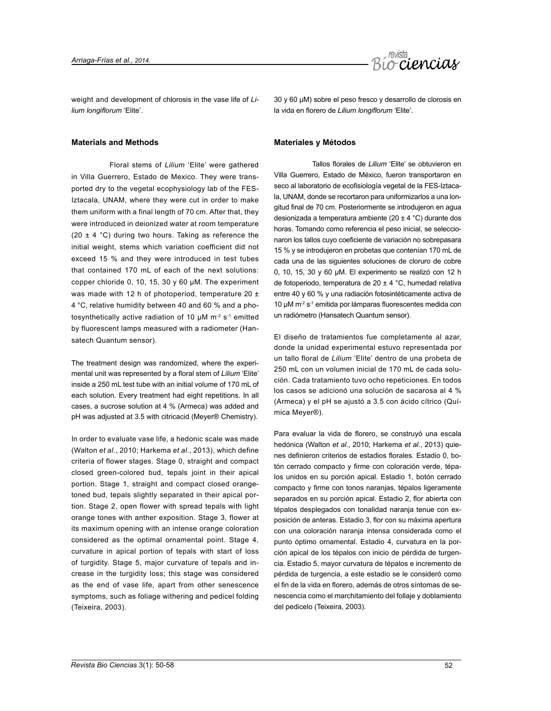

weight and development of chlorosis in the vase life of *Lilium longiflorum* 'Elite'.

# **Materials and Methods**

Floral stems of *Lilium* 'Elite' were gathered in Villa Guerrero, Estado de Mexico. They were transported dry to the vegetal ecophysiology lab of the FES-Iztacala, UNAM, where they were cut in order to make them uniform with a final length of 70 cm. After that, they were introduced in deionized water at room temperature (20  $\pm$  4 °C) during two hours. Taking as reference the initial weight, stems which variation coefficient did not exceed 15 % and they were introduced in test tubes that contained 170 mL of each of the next solutions: copper chloride 0, 10, 15, 30 y 60 µM. The experiment was made with 12 h of photoperiod, temperature 20 ± 4 °C, relative humidity between 40 and 60 % and a photosynthetically active radiation of 10  $\mu$ M m<sup>-2</sup> s<sup>-1</sup> emitted by fluorescent lamps measured with a radiometer (Hansatech Quantum sensor).

The treatment design was randomized, where the experimental unit was represented by a floral stem of *Lilium* 'Elite' inside a 250 mL test tube with an initial volume of 170 mL of each solution. Every treatment had eight repetitions. In all cases, a sucrose solution at 4 % (Armeca) was added and pH was adjusted at 3.5 with citricacid (Meyer® Chemistry).

In order to evaluate vase life, a hedonic scale was made (Walton *et al*., 2010; Harkema *et al.*, 2013), which define criteria of flower stages. Stage 0, straight and compact closed green-colored bud, tepals joint in their apical portion. Stage 1, straight and compact closed orangetoned bud, tepals slightly separated in their apical portion. Stage 2, open flower with spread tepals with light orange tones with anther exposition. Stage 3, flower at its maximum opening with an intense orange coloration considered as the optimal ornamental point. Stage 4, curvature in apical portion of tepals with start of loss of turgidity. Stage 5, major curvature of tepals and increase in the turgidity loss; this stage was considered as the end of vase life, apart from other senescence symptoms, such as foliage withering and pedicel folding (Teixeira, 2003).

30 y 60 μM) sobre el peso fresco y desarrollo de clorosis en la vida en florero de *Lilium longiflorum* 'Elite'.

# **Materiales y Métodos**

Tallos florales de *Lilium* 'Elite' se obtuvieron en Villa Guerrero, Estado de México, fueron transportaron en seco al laboratorio de ecofisiología vegetal de la FES-Iztacala, UNAM, donde se recortaron para uniformizarlos a una longitud final de 70 cm. Posteriormente se introdujeron en agua desionizada a temperatura ambiente (20 ± 4 °C) durante dos horas. Tomando como referencia el peso inicial, se seleccionaron los tallos cuyo coeficiente de variación no sobrepasara 15 % y se introdujeron en probetas que contenían 170 mL de cada una de las siguientes soluciones de cloruro de cobre 0, 10, 15, 30 y 60 µM. El experimento se realizó con 12 h de fotoperiodo, temperatura de 20 ± 4 °C, humedad relativa entre 40 y 60 % y una radiación fotosintéticamente activa de 10 µM m-2 s-1 emitida por lámparas fluorescentes medida con un radiómetro (Hansatech Quantum sensor).

El diseño de tratamientos fue completamente al azar, donde la unidad experimental estuvo representada por un tallo floral de *Lilium* 'Elite' dentro de una probeta de 250 mL con un volumen inicial de 170 mL de cada solución. Cada tratamiento tuvo ocho repeticiones. En todos los casos se adicionó una solución de sacarosa al 4 % (Armeca) y el pH se ajustó a 3.5 con ácido cítrico (Química Meyer®).

Para evaluar la vida de florero, se construyó una escala hedónica (Walton *et al.*, 2010; Harkema *et al*., 2013) quienes definieron criterios de estadios florales. Estadio 0, botón cerrado compacto y firme con coloración verde, tépalos unidos en su porción apical. Estadio 1, botón cerrado compacto y firme con tonos naranjas, tépalos ligeramente separados en su porción apical. Estadio 2, flor abierta con tépalos desplegados con tonalidad naranja tenue con exposición de anteras. Estadio 3, flor con su máxima apertura con una coloración naranja intensa considerada como el punto óptimo ornamental. Estadio 4, curvatura en la porción apical de los tépalos con inicio de pérdida de turgencia. Estadio 5, mayor curvatura de tépalos e incremento de pérdida de turgencia, a este estadio se le consideró como el fin de la vida en florero, además de otros síntomas de senescencia como el marchitamiento del follaje y doblamiento del pedicelo (Teixeira, 2003).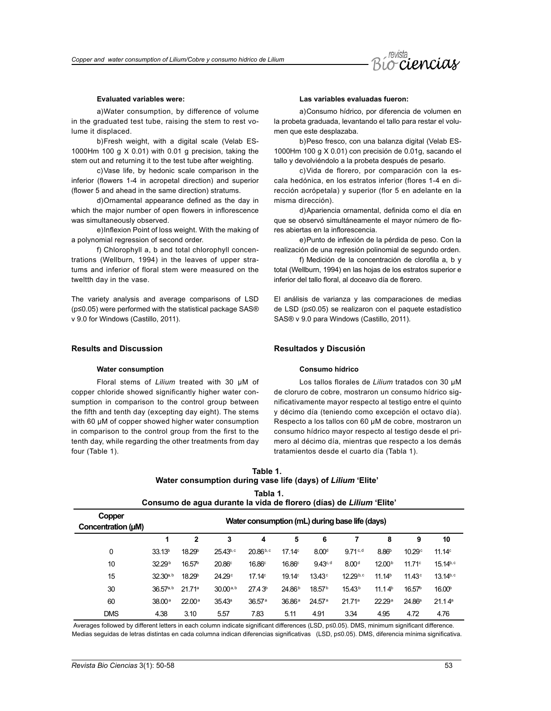

## **Evaluated variables were:**

a)Water consumption, by difference of volume in the graduated test tube, raising the stem to rest volume it displaced.

b)Fresh weight, with a digital scale (Velab ES-1000Hm 100 g X 0.01) with 0.01 g precision, taking the stem out and returning it to the test tube after weighting.

c)Vase life, by hedonic scale comparison in the inferior (flowers 1-4 in acropetal direction) and superior (flower 5 and ahead in the same direction) stratums.

d)Ornamental appearance defined as the day in which the major number of open flowers in inflorescence was simultaneously observed.

e)Inflexion Point of loss weight. With the making of a polynomial regression of second order.

f) Chlorophyll a, b and total chlorophyll concentrations (Wellburn, 1994) in the leaves of upper stratums and inferior of floral stem were measured on the tweltth day in the vase.

The variety analysis and average comparisons of LSD (p≤0.05) were performed with the statistical package SAS® v 9.0 for Windows (Castillo, 2011).

## **Results and Discussion**

### **Water consumption**

Floral stems of *Lilium* treated with 30 µM of copper chloride showed significantly higher water consumption in comparison to the control group between the fifth and tenth day (excepting day eight). The stems with 60 µM of copper showed higher water consumption in comparison to the control group from the first to the tenth day, while regarding the other treatments from day four (Table 1).

# **Las variables evaluadas fueron:**

a)Consumo hídrico, por diferencia de volumen en la probeta graduada, levantando el tallo para restar el volumen que este desplazaba.

b)Peso fresco, con una balanza digital (Velab ES-1000Hm 100 g X 0.01) con precisión de 0.01g, sacando el tallo y devolviéndolo a la probeta después de pesarlo.

c)Vida de florero, por comparación con la escala hedónica, en los estratos inferior (flores 1-4 en dirección acrópetala) y superior (flor 5 en adelante en la misma dirección).

d)Apariencia ornamental, definida como el día en que se observó simultáneamente el mayor número de flores abiertas en la inflorescencia.

e)Punto de inflexión de la pérdida de peso. Con la realización de una regresión polinomial de segundo orden.

f) Medición de la concentración de clorofila a, b y total (Wellburn, 1994) en las hojas de los estratos superior e inferior del tallo floral, al doceavo día de florero.

El análisis de varianza y las comparaciones de medias de LSD (p≤0.05) se realizaron con el paquete estadístico SAS® v 9.0 para Windows (Castillo, 2011).

# **Resultados y Discusión**

# **Consumo hídrico**

Los tallos florales de *Lilium* tratados con 30 µM de cloruro de cobre, mostraron un consumo hídrico significativamente mayor respecto al testigo entre el quinto y décimo día (teniendo como excepción el octavo día). Respecto a los tallos con 60 µM de cobre, mostraron un consumo hídrico mayor respecto al testigo desde el primero al décimo día, mientras que respecto a los demás tratamientos desde el cuarto día (Tabla 1).

# **Table 1. Water consumption during vase life (days) of** *Lilium* **'Elite' Tabla 1.**

**Consumo de agua durante la vida de florero (días) de** *Lilium* **'Elite'**

| Copper<br>Concentration (µM) | Water consumption (mL) during base life (days) |                    |                    |                    |                    |                    |                    |                    |                    |                    |
|------------------------------|------------------------------------------------|--------------------|--------------------|--------------------|--------------------|--------------------|--------------------|--------------------|--------------------|--------------------|
|                              |                                                | $\mathbf{2}$       | 3                  | 4                  | 5                  | 6                  |                    | 8                  | 9                  | 10                 |
| 0                            | 33.13 <sup>b</sup>                             | 18.29 <sup>b</sup> | $25.43^{b,c}$      | $20.86^{b,c}$      | 17.14 <sup>c</sup> | 8.00 <sup>d</sup>  | 9.71c,d            | 8.86 <sup>b</sup>  | 10.29 <sup>c</sup> | 11.14 <sup>c</sup> |
| 10                           | 32.29 <sup>b</sup>                             | 16.57 <sup>b</sup> | 20.86°             | 16.86 <sup>c</sup> | 16.86°             | 9.43c, d           | 8.00 <sup>d</sup>  | 12.00 <sup>b</sup> | 11.71c             | $15.14^{b,c}$      |
| 15                           | $32.30^{a, b}$                                 | 18.29 <sup>b</sup> | 24.29 <sup>c</sup> | 17.14 <sup>c</sup> | 19.14 <sup>c</sup> | 13.43 <sup>c</sup> | 12.29b,c           | 11.14 <sup>b</sup> | 11.43 <sup>c</sup> | $13.14^{b,c}$      |
| 30                           | $36.57$ <sup>a, b</sup>                        | 21.71 <sup>a</sup> | $30.00^{a, b}$     | 27.43 <sup>b</sup> | 24.86 <sup>b</sup> | 18.57 <sup>b</sup> | 15.43 <sup>b</sup> | 11.14 <sup>b</sup> | 16.57 <sup>b</sup> | 16.00 <sup>b</sup> |
| 60                           | 38.00a                                         | 22.00a             | 35.43 <sup>a</sup> | 36.57 <sup>a</sup> | 36.86a             | 24.57 <sup>a</sup> | 21.71 <sup>a</sup> | 22.29a             | 24.86 <sup>a</sup> | 21.14 <sup>a</sup> |
| <b>DMS</b>                   | 4.38                                           | 3.10               | 5.57               | 7.83               | 5.11               | 4.91               | 3.34               | 4.95               | 4.72               | 4.76               |

Averages followed by different letters in each column indicate significant differences (LSD, p≤0.05). DMS, minimum significant difference. Medias seguidas de letras distintas en cada columna indican diferencias significativas (LSD, p≤0.05). DMS, diferencia mínima significativa.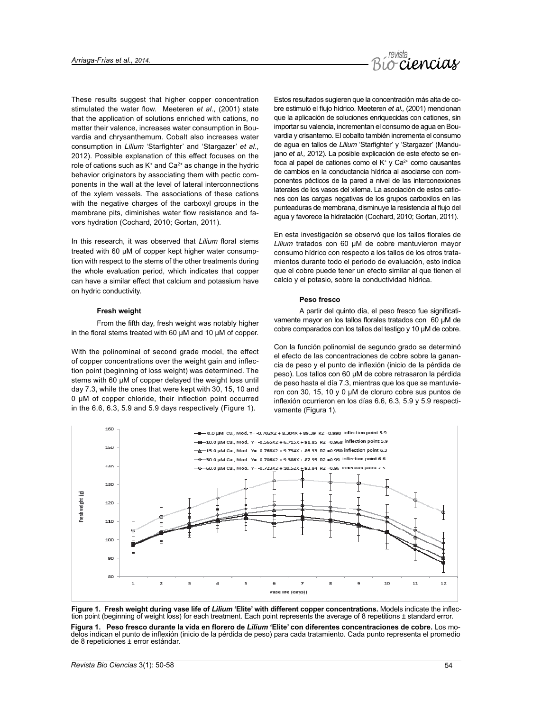

These results suggest that higher copper concentration stimulated the water flow. Meeteren *et al*., (2001) state that the application of solutions enriched with cations, no matter their valence, increases water consumption in Bouvardia and chrysanthemum. Cobalt also increases water consumption in *Lilium* 'Starfighter' and 'Stargazer' *et al*., 2012). Possible explanation of this effect focuses on the role of cations such as  $K^+$  and  $Ca^{2+}$  as change in the hydric behavior originators by associating them with pectic components in the wall at the level of lateral interconnections of the xylem vessels. The associations of these cations with the negative charges of the carboxyl groups in the membrane pits, diminishes water flow resistance and favors hydration (Cochard, 2010; Gortan, 2011).

In this research, it was observed that *Lilium* floral stems treated with 60 µM of copper kept higher water consumption with respect to the stems of the other treatments during the whole evaluation period, which indicates that copper can have a similar effect that calcium and potassium have on hydric conductivity.

### **Fresh weight**

From the fifth day, fresh weight was notably higher in the floral stems treated with 60 µM and 10 µM of copper.

With the polinominal of second grade model, the effect of copper concentrations over the weight gain and inflection point (beginning of loss weight) was determined. The stems with 60 µM of copper delayed the weight loss until day 7.3, while the ones that were kept with 30, 15, 10 and 0 µM of copper chloride, their inflection point occurred in the 6.6, 6.3, 5.9 and 5.9 days respectively (Figure 1).

Estos resultados sugieren que la concentración más alta de cobre estimuló el flujo hídrico. Meeteren *et al.,* (2001) mencionan que la aplicación de soluciones enriquecidas con cationes, sin importar su valencia, incrementan el consumo de agua en Bouvardia y crisantemo. El cobalto también incrementa el consumo de agua en tallos de *Lilium* 'Starfighter' y 'Stargazer' (Mandujano *et al.,* 2012). La posible explicación de este efecto se enfoca al papel de cationes como el  $K^*$  y Ca $2^+$  como causantes de cambios en la conductancia hídrica al asociarse con componentes pécticos de la pared a nivel de las interconexiones laterales de los vasos del xilema. La asociación de estos cationes con las cargas negativas de los grupos carboxilos en las punteaduras de membrana, disminuye la resistencia al flujo del agua y favorece la hidratación (Cochard, 2010; Gortan, 2011).

En esta investigación se observó que los tallos florales de *Lilium* tratados con 60 µM de cobre mantuvieron mayor consumo hídrico con respecto a los tallos de los otros tratamientos durante todo el periodo de evaluación, esto indica que el cobre puede tener un efecto similar al que tienen el calcio y el potasio, sobre la conductividad hídrica.

# **Peso fresco**

A partir del quinto día, el peso fresco fue significativamente mayor en los tallos florales tratados con 60 µM de cobre comparados con los tallos del testigo y 10 µM de cobre.

Con la función polinomial de segundo grado se determinó el efecto de las concentraciones de cobre sobre la ganancia de peso y el punto de inflexión (inicio de la pérdida de peso). Los tallos con 60 µM de cobre retrasaron la pérdida de peso hasta el día 7.3, mientras que los que se mantuvieron con 30, 15, 10 y 0 µM de cloruro cobre sus puntos de inflexión ocurrieron en los días 6.6, 6.3, 5.9 y 5.9 respectivamente (Figura 1).





**Figura 1. Peso fresco durante la vida en florero de** *Lilium* **'Elite' con diferentes concentraciones de cobre.** Los modelos indican el punto de inflexión (inicio de la pérdida de peso) para cada tratamiento. Cada punto representa el promedio de 8 repeticiones ± error estándar.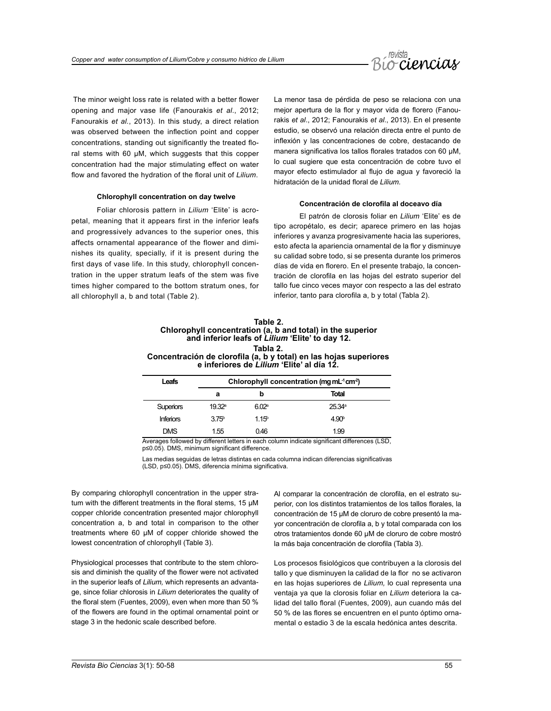

 The minor weight loss rate is related with a better flower opening and major vase life (Fanourakis *et al*., 2012; Fanourakis *et al.*, 2013). In this study, a direct relation was observed between the inflection point and copper concentrations, standing out significantly the treated floral stems with 60 µM, which suggests that this copper concentration had the major stimulating effect on water flow and favored the hydration of the floral unit of *Lilium*.

## **Chlorophyll concentration on day twelve**

Foliar chlorosis pattern in *Lilium* 'Elite' is acropetal, meaning that it appears first in the inferior leafs and progressively advances to the superior ones, this affects ornamental appearance of the flower and diminishes its quality, specially, if it is present during the first days of vase life. In this study, chlorophyll concentration in the upper stratum leafs of the stem was five times higher compared to the bottom stratum ones, for all chlorophyll a, b and total (Table 2).

La menor tasa de pérdida de peso se relaciona con una mejor apertura de la flor y mayor vida de florero (Fanourakis *et al*., 2012; Fanourakis *et al*., 2013). En el presente estudio, se observó una relación directa entre el punto de inflexión y las concentraciones de cobre, destacando de manera significativa los tallos florales tratados con 60 µM, lo cual sugiere que esta concentración de cobre tuvo el mayor efecto estimulador al flujo de agua y favoreció la hidratación de la unidad floral de *Lilium.*

# **Concentración de clorofila al doceavo día**

El patrón de clorosis foliar en *Lilium* 'Elite' es de tipo acropétalo, es decir; aparece primero en las hojas inferiores y avanza progresivamente hacia las superiores, esto afecta la apariencia ornamental de la flor y disminuye su calidad sobre todo, si se presenta durante los primeros días de vida en florero. En el presente trabajo, la concentración de clorofila en las hojas del estrato superior del tallo fue cinco veces mayor con respecto a las del estrato inferior, tanto para clorofila a, b y total (Tabla 2).

| Table 2.                                                          |
|-------------------------------------------------------------------|
| Chlorophyll concentration (a, b and total) in the superior        |
| and inferior leafs of Lilium 'Elite' to day 12.                   |
| Tabla 2.                                                          |
| Concentración de clorofila (a, b y total) en las hojas superiores |
| e inferiores de Lilium 'Elite' al día 12.                         |

| Leafs            | Chlorophyll concentration (mg mL <sup>-1</sup> cm <sup>-2</sup> ) |                  |                   |  |  |
|------------------|-------------------------------------------------------------------|------------------|-------------------|--|--|
|                  | а                                                                 | b                | Total             |  |  |
| <b>Superiors</b> | 19.32a                                                            | 602ª             | 25.34a            |  |  |
| <b>Inferiors</b> | 3.75 <sup>b</sup>                                                 | 115 <sup>b</sup> | 4.90 <sup>b</sup> |  |  |
| <b>DMS</b>       | 1.55                                                              | 0.46             | 1.99              |  |  |

Averages followed by different letters in each column indicate significant differences (LSD, p≤0.05). DMS, minimum significant difference.

Las medias seguidas de letras distintas en cada columna indican diferencias significativas (LSD, p≤0.05). DMS, diferencia mínima significativa.

By comparing chlorophyll concentration in the upper stratum with the different treatments in the floral stems, 15 µM copper chloride concentration presented major chlorophyll concentration a, b and total in comparison to the other treatments where 60 µM of copper chloride showed the lowest concentration of chlorophyll (Table 3).

Physiological processes that contribute to the stem chlorosis and diminish the quality of the flower were not activated in the superior leafs of *Lilium,* which represents an advantage, since foliar chlorosis in *Lilium* deteriorates the quality of the floral stem (Fuentes, 2009), even when more than 50 % of the flowers are found in the optimal ornamental point or stage 3 in the hedonic scale described before.

Al comparar la concentración de clorofila, en el estrato superior, con los distintos tratamientos de los tallos florales, la concentración de 15 µM de cloruro de cobre presentó la mayor concentración de clorofila a, b y total comparada con los otros tratamientos donde 60 µM de cloruro de cobre mostró la más baja concentración de clorofila (Tabla 3).

Los procesos fisiológicos que contribuyen a la clorosis del tallo y que disminuyen la calidad de la flor no se activaron en las hojas superiores de *Lilium,* lo cual representa una ventaja ya que la clorosis foliar en *Lilium* deteriora la calidad del tallo floral (Fuentes, 2009), aun cuando más del 50 % de las flores se encuentren en el punto óptimo ornamental o estadio 3 de la escala hedónica antes descrita.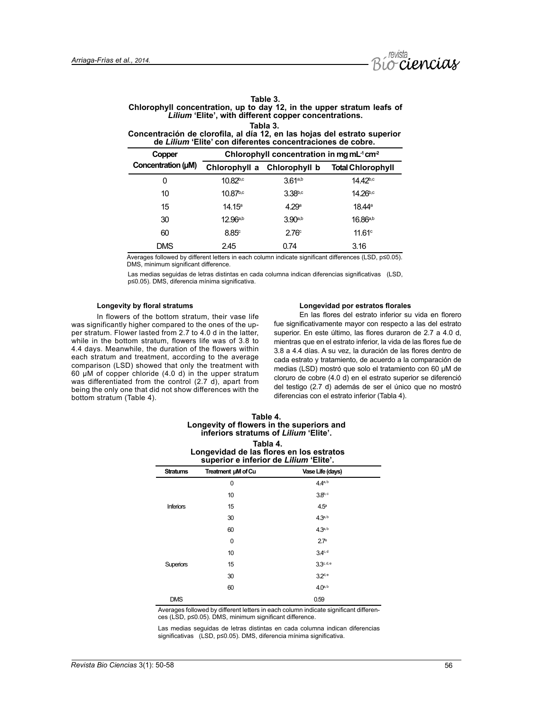

| Table 3.                                                               |
|------------------------------------------------------------------------|
| Chlorophyll concentration, up to day 12, in the upper stratum leafs of |
| Lilium 'Elite', with different copper concentrations.                  |
| Tabla 3.                                                               |

# **Concentración de clorofila, al día 12, en las hojas del estrato superior de** *Lilium* **'Elite' con diferentes concentraciones de cobre.**

| Copper             | Chlorophyll concentration in mg mL <sup>-1</sup> cm <sup>-2</sup> |                             |                          |  |  |  |
|--------------------|-------------------------------------------------------------------|-----------------------------|--------------------------|--|--|--|
| Concentration (µM) |                                                                   | Chlorophyll a Chlorophyll b | <b>Total Chlorophyll</b> |  |  |  |
| 0                  | $10.82^{b,c}$                                                     | 3.61a, b                    | $14.42^{b,c}$            |  |  |  |
| 10                 | $10.87^{b,c}$                                                     | $3.38^{b,c}$                | $14.26^{b,c}$            |  |  |  |
| 15                 | $14.15^a$                                                         | 4.29 <sup>a</sup>           | 18.44 <sup>a</sup>       |  |  |  |
| 30                 | $12.96^{a,b}$                                                     | $3.90^{a,b}$                | $16.86^{a,b}$            |  |  |  |
| 60                 | 8.85c                                                             | 2.76 <sup>c</sup>           | 11.61c                   |  |  |  |
| DMS                | 2.45                                                              | 0.74                        | 3.16                     |  |  |  |

Averages followed by different letters in each column indicate significant differences (LSD, p≤0.05). DMS, minimum significant difference.

Las medias seguidas de letras distintas en cada columna indican diferencias significativas (LSD, p≤0.05). DMS, diferencia mínima significativa.

# **Longevity by floral stratums**

In flowers of the bottom stratum, their vase life was significantly higher compared to the ones of the upper stratum. Flower lasted from 2.7 to 4.0 d in the latter, while in the bottom stratum, flowers life was of 3.8 to 4.4 days. Meanwhile, the duration of the flowers within each stratum and treatment, according to the average comparison (LSD) showed that only the treatment with 60 µM of copper chloride (4.0 d) in the upper stratum was differentiated from the control (2.7 d), apart from being the only one that did not show differences with the bottom stratum (Table 4).

### **Longevidad por estratos florales**

En las flores del estrato inferior su vida en florero fue significativamente mayor con respecto a las del estrato superior. En este último, las flores duraron de 2.7 a 4.0 d, mientras que en el estrato inferior, la vida de las flores fue de 3.8 a 4.4 días. A su vez, la duración de las flores dentro de cada estrato y tratamiento, de acuerdo a la comparación de medias (LSD) mostró que solo el tratamiento con 60 µM de cloruro de cobre (4.0 d) en el estrato superior se diferenció del testigo (2.7 d) además de ser el único que no mostró diferencias con el estrato inferior (Tabla 4).

# **Table 4. Longevity of flowers in the superiors and inferiors stratums of** *Lilium* **'Elite'. Tabla 4. Longevidad de las flores en los estratos superior e inferior de** *Lilium* **'Elite'.**

| <b>Stratums</b>  | Treatment µM of Cu | Vase Life (days)    |  |
|------------------|--------------------|---------------------|--|
|                  | 0                  | $4.4^{a, b}$        |  |
| <b>Inferiors</b> | 10                 | 3.8 <sup>b, c</sup> |  |
|                  | 15                 | 4.5 <sup>a</sup>    |  |
|                  | 30                 | $4.3^{a, b}$        |  |
|                  | 60                 | $4.3^{a, b}$        |  |
|                  | 0                  | $2.7^\circ$         |  |
| Superiors        | 10                 | 3.4c, d             |  |
|                  | 15                 | 3.3c, d, e          |  |
|                  | 30                 | 3.2 <sup>d,e</sup>  |  |
|                  | 60                 | $4.0^{a, b}$        |  |
| <b>DMS</b>       |                    | 0.59                |  |

Averages followed by different letters in each column indicate significant differences (LSD, p≤0.05). DMS, minimum significant difference.

Las medias seguidas de letras distintas en cada columna indican diferencias significativas (LSD, p≤0.05). DMS, diferencia mínima significativa.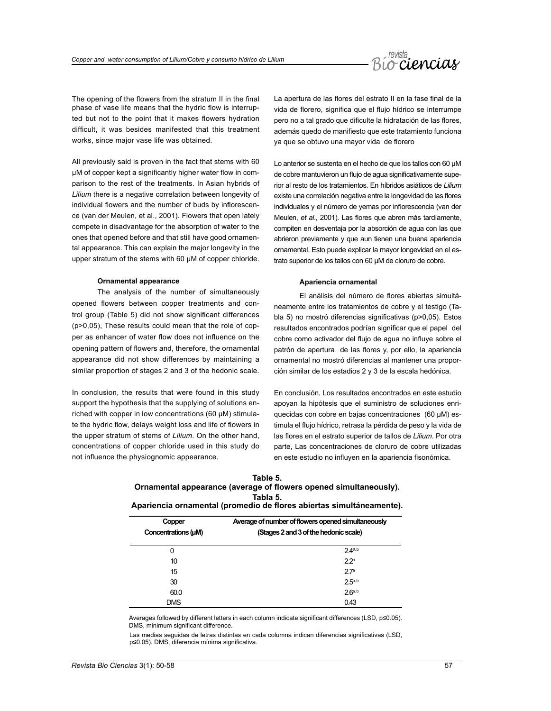

The opening of the flowers from the stratum II in the final phase of vase life means that the hydric flow is interrupted but not to the point that it makes flowers hydration difficult, it was besides manifested that this treatment works, since major vase life was obtained.

All previously said is proven in the fact that stems with 60 µM of copper kept a significantly higher water flow in comparison to the rest of the treatments. In Asian hybrids of *Lilium* there is a negative correlation between longevity of individual flowers and the number of buds by inflorescence (van der Meulen, et al., 2001). Flowers that open lately compete in disadvantage for the absorption of water to the ones that opened before and that still have good ornamental appearance. This can explain the major longevity in the upper stratum of the stems with 60 µM of copper chloride.

#### **Ornamental appearance**

The analysis of the number of simultaneously opened flowers between copper treatments and control group (Table 5) did not show significant differences (p>0,05), These results could mean that the role of copper as enhancer of water flow does not influence on the opening pattern of flowers and, therefore, the ornamental appearance did not show differences by maintaining a similar proportion of stages 2 and 3 of the hedonic scale.

In conclusion, the results that were found in this study support the hypothesis that the supplying of solutions enriched with copper in low concentrations (60 µM) stimulate the hydric flow, delays weight loss and life of flowers in the upper stratum of stems of *Lilium*. On the other hand, concentrations of copper chloride used in this study do not influence the physiognomic appearance.

La apertura de las flores del estrato II en la fase final de la vida de florero, significa que el flujo hídrico se interrumpe pero no a tal grado que dificulte la hidratación de las flores, además quedo de manifiesto que este tratamiento funciona ya que se obtuvo una mayor vida de florero

Lo anterior se sustenta en el hecho de que los tallos con 60 µM de cobre mantuvieron un flujo de agua significativamente superior al resto de los tratamientos. En híbridos asiáticos de *Lilium* existe una correlación negativa entre la longevidad de las flores individuales y el número de yemas por inflorescencia (van der Meulen, *et al*., 2001). Las flores que abren más tardíamente, compiten en desventaja por la absorción de agua con las que abrieron previamente y que aun tienen una buena apariencia ornamental. Esto puede explicar la mayor longevidad en el estrato superior de los tallos con 60 µM de cloruro de cobre.

# **Apariencia ornamental**

El análisis del número de flores abiertas simultáneamente entre los tratamientos de cobre y el testigo (Tabla 5) no mostró diferencias significativas (p>0,05). Estos resultados encontrados podrían significar que el papel del cobre como activador del flujo de agua no influye sobre el patrón de apertura de las flores y, por ello, la apariencia ornamental no mostró diferencias al mantener una proporción similar de los estadios 2 y 3 de la escala hedónica.

En conclusión, Los resultados encontrados en este estudio apoyan la hipótesis que el suministro de soluciones enriquecidas con cobre en bajas concentraciones (60 µM) estimula el flujo hídrico, retrasa la pérdida de peso y la vida de las flores en el estrato superior de tallos de *Lilium*. Por otra parte, Las concentraciones de cloruro de cobre utilizadas en este estudio no influyen en la apariencia fisonómica.

### **Table 5.**

# **Ornamental appearance (average of flowers opened simultaneously). Tabla 5. Apariencia ornamental (promedio de flores abiertas simultáneamente).**

| Copper              | Average of number of flowers opened simultaneously |  |  |
|---------------------|----------------------------------------------------|--|--|
| Concentrations (µM) | (Stages 2 and 3 of the hedonic scale)              |  |  |
| 0                   | 24 <sup>a,b</sup>                                  |  |  |
| 10                  | $2.2^{b}$                                          |  |  |
| 15                  | 27a                                                |  |  |
| 30                  | $2.5^{a, b}$                                       |  |  |
| 60.0                | $26a$ <sub>b</sub>                                 |  |  |
| <b>DMS</b>          | 0.43                                               |  |  |

Averages followed by different letters in each column indicate significant differences (LSD, p≤0.05). DMS, minimum significant difference.

Las medias seguidas de letras distintas en cada columna indican diferencias significativas (LSD, p≤0.05). DMS, diferencia mínima significativa.